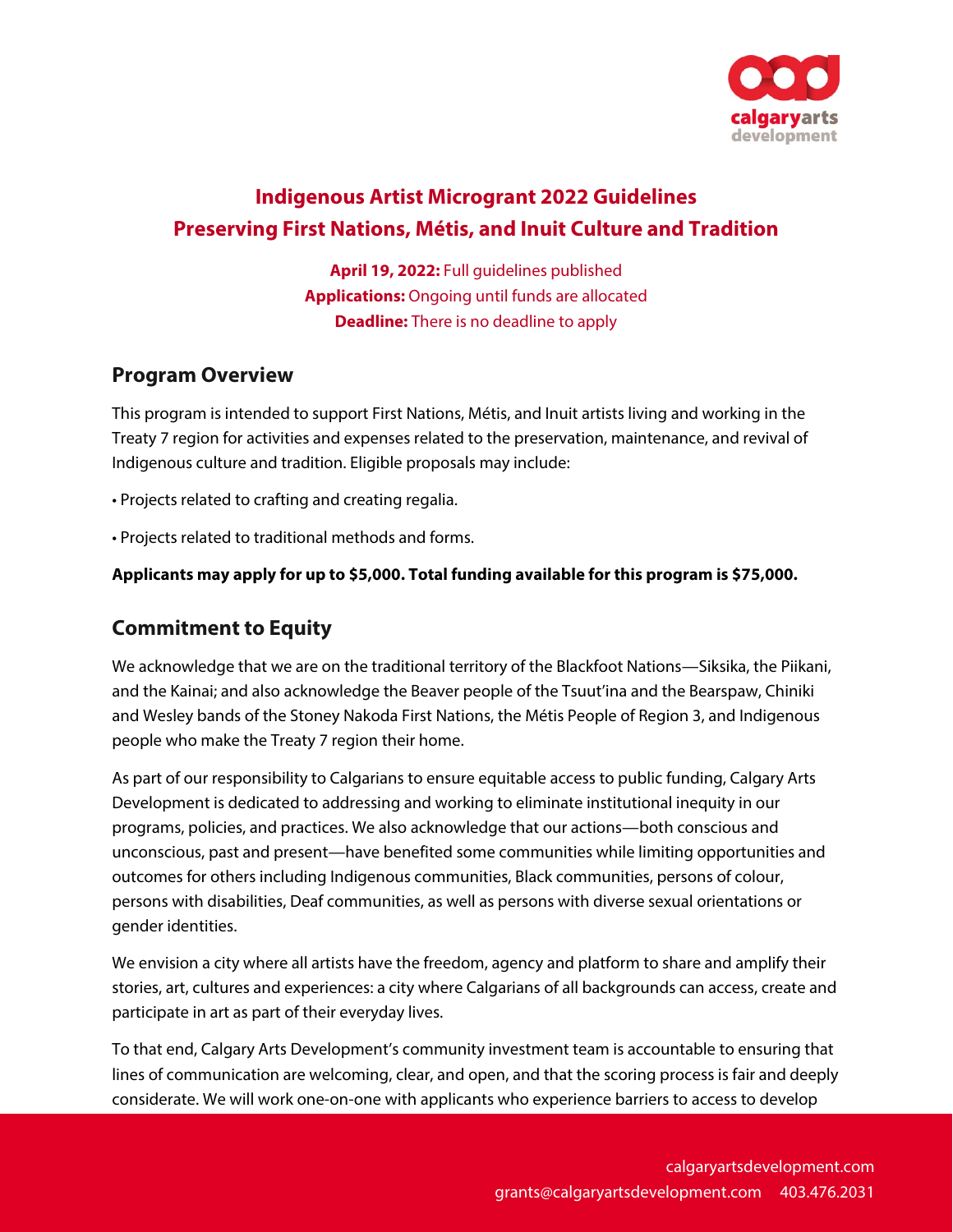

# **Indigenous Artist Microgrant 2022 Guidelines Preserving First Nations, Métis, and Inuit Culture and Tradition**

**April 19, 2022:** Full guidelines published **Applications:** Ongoing until funds are allocated **Deadline:** There is no deadline to apply

### **Program Overview**

This program is intended to support First Nations, Métis, and Inuit artists living and working in the Treaty 7 region for activities and expenses related to the preservation, maintenance, and revival of Indigenous culture and tradition. Eligible proposals may include:

- Projects related to crafting and creating regalia.
- Projects related to traditional methods and forms.

#### **Applicants may apply for up to \$5,000. Total funding available for this program is \$75,000.**

### **Commitment to Equity**

We acknowledge that we are on the traditional territory of the Blackfoot Nations—Siksika, the Piikani, and the Kainai; and also acknowledge the Beaver people of the Tsuut'ina and the Bearspaw, Chiniki and Wesley bands of the Stoney Nakoda First Nations, the Métis People of Region 3, and Indigenous people who make the Treaty 7 region their home.

As part of our responsibility to Calgarians to ensure equitable access to public funding, Calgary Arts Development is dedicated to addressing and working to eliminate institutional inequity in our programs, policies, and practices. We also acknowledge that our actions—both conscious and unconscious, past and present—have benefited some communities while limiting opportunities and outcomes for others including Indigenous communities, Black communities, persons of colour, persons with disabilities, Deaf communities, as well as persons with diverse sexual orientations or gender identities.

We envision a city where all artists have the freedom, agency and platform to share and amplify their stories, art, cultures and experiences: a city where Calgarians of all backgrounds can access, create and participate in art as part of their everyday lives.

To that end, Calgary Arts Development's community investment team is accountable to ensuring that lines of communication are welcoming, clear, and open, and that the scoring process is fair and deeply considerate. We will work one-on-one with applicants who experience barriers to access to develop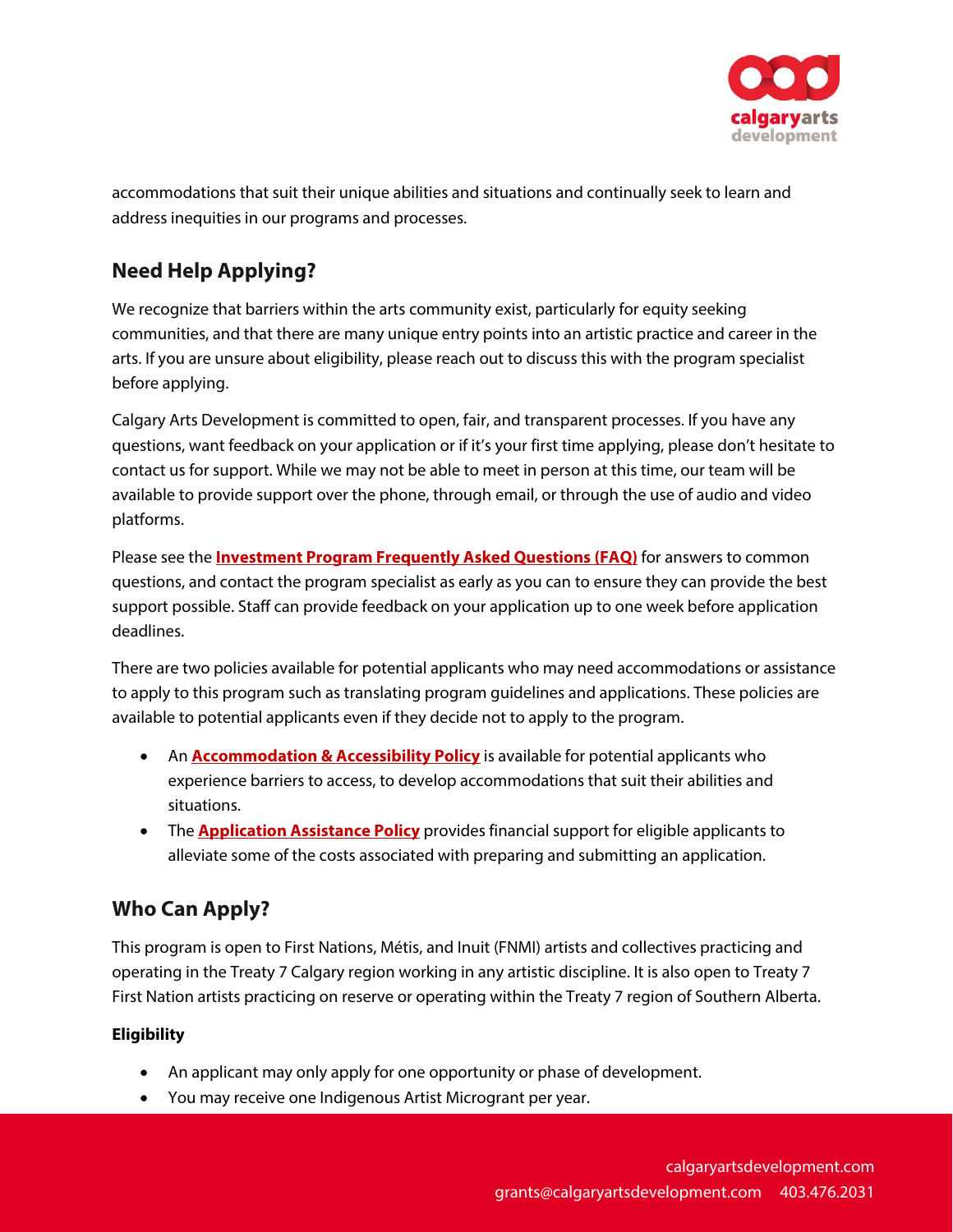

accommodations that suit their unique abilities and situations and continually seek to learn and address inequities in our programs and processes.

## **Need Help Applying?**

We recognize that barriers within the arts community exist, particularly for equity seeking communities, and that there are many unique entry points into an artistic practice and career in the arts. If you are unsure about eligibility, please reach out to discuss this with the program specialist before applying.

Calgary Arts Development is committed to open, fair, and transparent processes. If you have any questions, want feedback on your application or if it's your first time applying, please don't hesitate to contact us for support. While we may not be able to meet in person at this time, our team will be available to provide support over the phone, through email, or through the use of audio and video platforms.

Please see the **[Investment Program Frequently Asked Questions \(FAQ\)](https://calgaryartsdevelopment.com/programs/investment-program-faq/)** for answers to common questions, and contact the program specialist as early as you can to ensure they can provide the best support possible. Staff can provide feedback on your application up to one week before application deadlines.

There are two policies available for potential applicants who may need accommodations or assistance to apply to this program such as translating program guidelines and applications. These policies are available to potential applicants even if they decide not to apply to the program.

- **An [Accommodation & Accessibility Policy](https://calgaryartsdevelopment.com/policies/grant-investment-program-policies-2022/)** is available for potential applicants who experience barriers to access, to develop accommodations that suit their abilities and situations.
- The **[Application Assistance Policy](https://calgaryartsdevelopment.com/policies/grant-investment-program-policies-2022/)** provides financial support for eligible applicants to alleviate some of the costs associated with preparing and submitting an application.

## **Who Can Apply?**

This program is open to First Nations, Métis, and Inuit (FNMI) artists and collectives practicing and operating in the Treaty 7 Calgary region working in any artistic discipline. It is also open to Treaty 7 First Nation artists practicing on reserve or operating within the Treaty 7 region of Southern Alberta.

### **Eligibility**

- An applicant may only apply for one opportunity or phase of development.
- You may receive one Indigenous Artist Microgrant per year.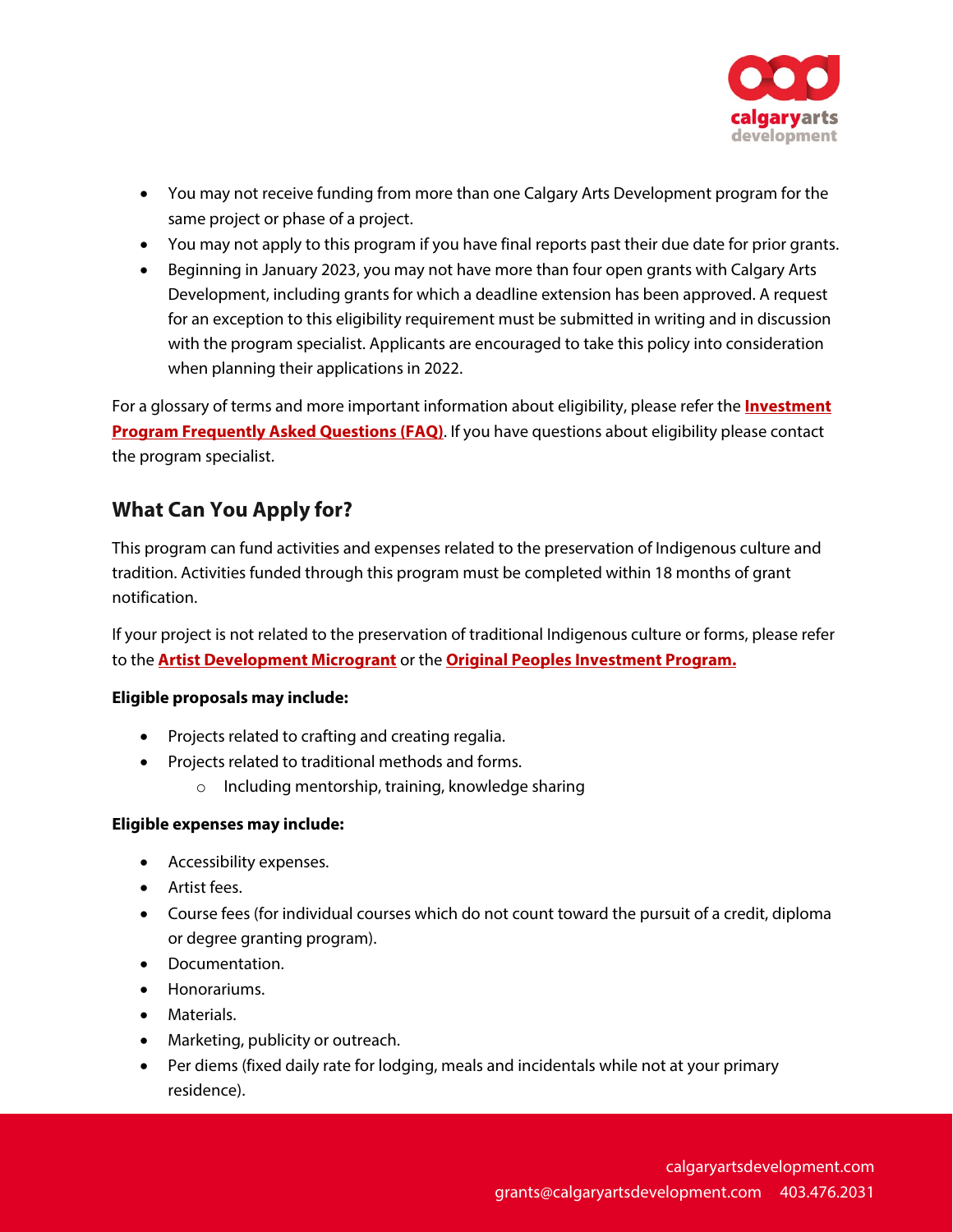

- You may not receive funding from more than one Calgary Arts Development program for the same project or phase of a project.
- You may not apply to this program if you have final reports past their due date for prior grants.
- Beginning in January 2023, you may not have more than four open grants with Calgary Arts Development, including grants for which a deadline extension has been approved. A request for an exception to this eligibility requirement must be submitted in writing and in discussion with the program specialist. Applicants are encouraged to take this policy into consideration when planning their applications in 2022.

For a glossary of terms and more important information about eligibility, please refer the **[Investment](https://calgaryartsdevelopment.com/programs/investment-program-faq/)  [Program Frequently Asked Questions \(FAQ\)](https://calgaryartsdevelopment.com/programs/investment-program-faq/)**. If you have questions about eligibility please contact the program specialist.

## **What Can You Apply for?**

This program can fund activities and expenses related to the preservation of Indigenous culture and tradition. Activities funded through this program must be completed within 18 months of grant notification.

If your project is not related to the preservation of traditional Indigenous culture or forms, please refer to the **[Artist Development Microgrant](https://calgaryartsdevelopment.com/programs/artist-development-microgrant/)** or the **[Original Peoples Investment Program.](https://calgaryartsdevelopment.com/programs/original-peoples-investment-program/)**

#### **Eligible proposals may include:**

- Projects related to crafting and creating regalia.
- Projects related to traditional methods and forms.
	- o Including mentorship, training, knowledge sharing

#### **Eligible expenses may include:**

- Accessibility expenses.
- Artist fees.
- Course fees (for individual courses which do not count toward the pursuit of a credit, diploma or degree granting program).
- Documentation.
- Honorariums.
- Materials.
- Marketing, publicity or outreach.
- Per diems (fixed daily rate for lodging, meals and incidentals while not at your primary residence).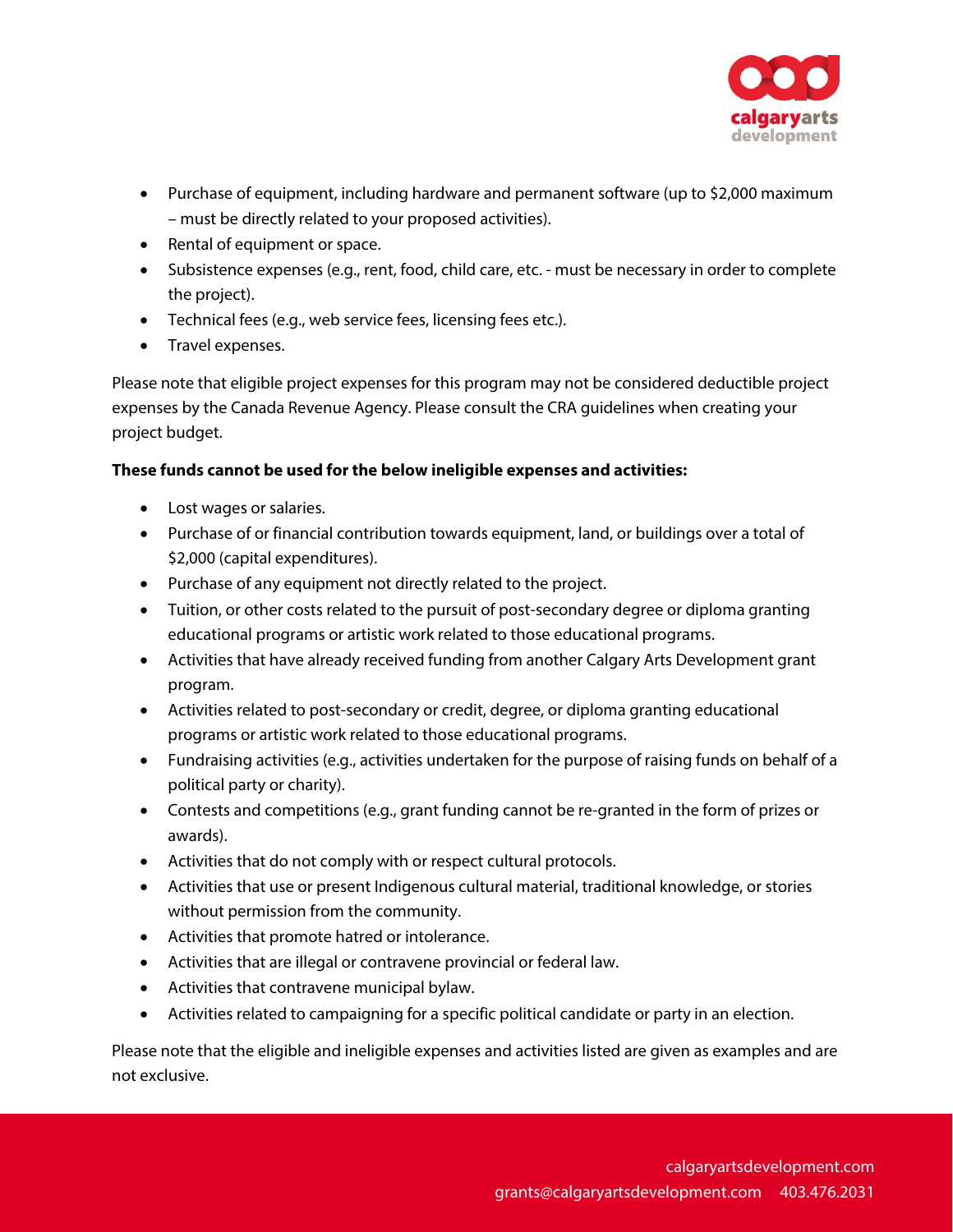

- Purchase of equipment, including hardware and permanent software (up to \$2,000 maximum – must be directly related to your proposed activities).
- Rental of equipment or space.
- Subsistence expenses (e.g., rent, food, child care, etc. must be necessary in order to complete the project).
- Technical fees (e.g., web service fees, licensing fees etc.).
- Travel expenses.

Please note that eligible project expenses for this program may not be considered deductible project expenses by the Canada Revenue Agency. Please consult the CRA guidelines when creating your project budget.

#### **These funds cannot be used for the below ineligible expenses and activities:**

- Lost wages or salaries.
- Purchase of or financial contribution towards equipment, land, or buildings over a total of \$2,000 (capital expenditures).
- Purchase of any equipment not directly related to the project.
- Tuition, or other costs related to the pursuit of post-secondary degree or diploma granting educational programs or artistic work related to those educational programs.
- Activities that have already received funding from another Calgary Arts Development grant program.
- Activities related to post-secondary or credit, degree, or diploma granting educational programs or artistic work related to those educational programs.
- Fundraising activities (e.g., activities undertaken for the purpose of raising funds on behalf of a political party or charity).
- Contests and competitions (e.g., grant funding cannot be re-granted in the form of prizes or awards).
- Activities that do not comply with or respect cultural protocols.
- Activities that use or present Indigenous cultural material, traditional knowledge, or stories without permission from the community.
- Activities that promote hatred or intolerance.
- Activities that are illegal or contravene provincial or federal law.
- Activities that contravene municipal bylaw.
- Activities related to campaigning for a specific political candidate or party in an election.

Please note that the eligible and ineligible expenses and activities listed are given as examples and are not exclusive.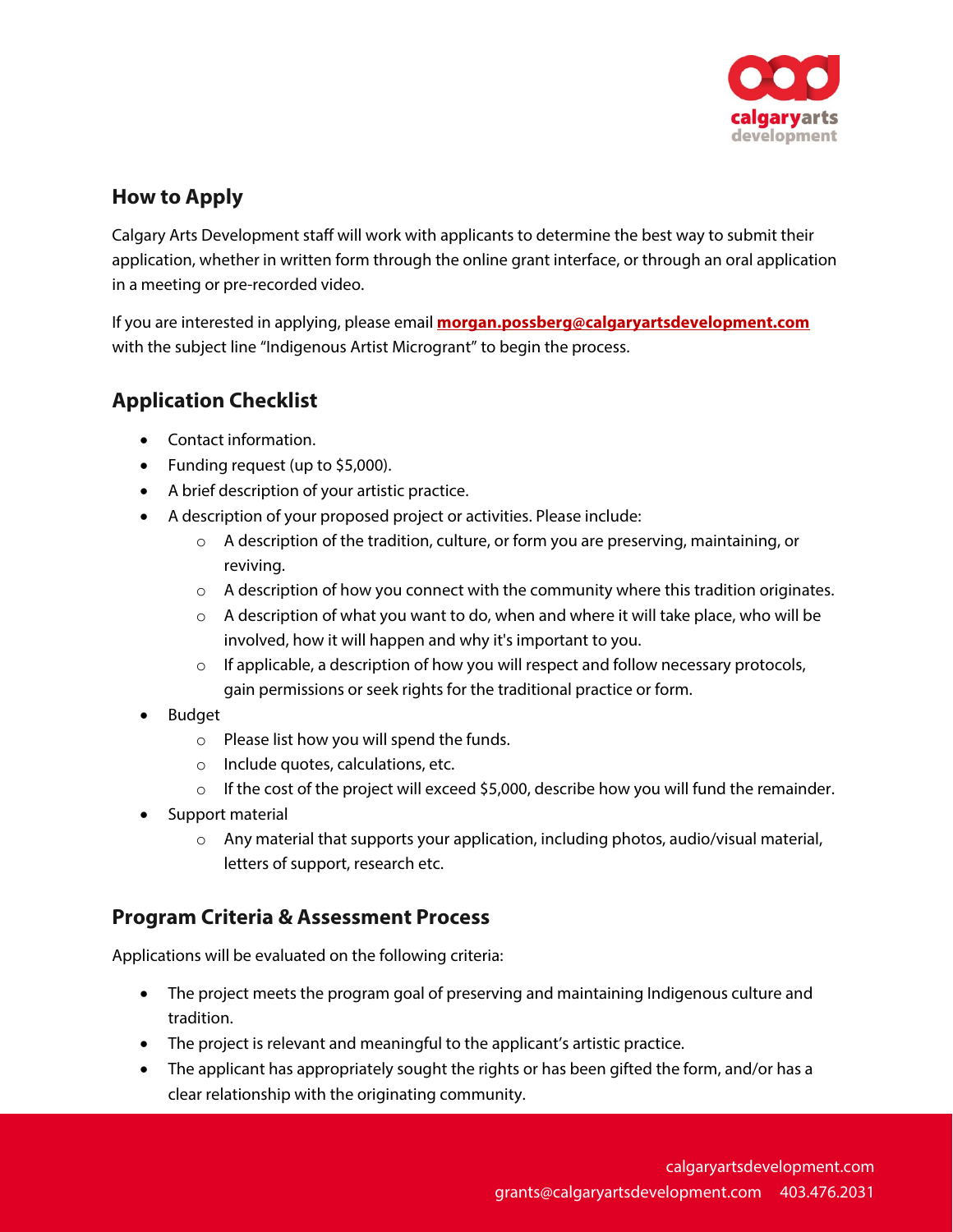

### **How to Apply**

Calgary Arts Development staff will work with applicants to determine the best way to submit their application, whether in written form through the online grant interface, or through an oral application in a meeting or pre-recorded video.

If you are interested in applying, please email **[morgan.possberg@calgaryartsdevelopment.com](mailto:morgan.possberg@calgaryartsdevelopment.com)** with the subject line "Indigenous Artist Microgrant" to begin the process.

## **Application Checklist**

- Contact information.
- Funding request (up to \$5,000).
- A brief description of your artistic practice.
- A description of your proposed project or activities. Please include:
	- $\circ$  A description of the tradition, culture, or form you are preserving, maintaining, or reviving.
	- $\circ$  A description of how you connect with the community where this tradition originates.
	- $\circ$  A description of what you want to do, when and where it will take place, who will be involved, how it will happen and why it's important to you.
	- $\circ$  If applicable, a description of how you will respect and follow necessary protocols, gain permissions or seek rights for the traditional practice or form.
- Budget
	- o Please list how you will spend the funds.
	- o Include quotes, calculations, etc.
	- $\circ$  If the cost of the project will exceed \$5,000, describe how you will fund the remainder.
- Support material
	- $\circ$  Any material that supports your application, including photos, audio/visual material, letters of support, research etc.

### **Program Criteria & Assessment Process**

Applications will be evaluated on the following criteria:

- The project meets the program goal of preserving and maintaining Indigenous culture and tradition.
- The project is relevant and meaningful to the applicant's artistic practice.
- The applicant has appropriately sought the rights or has been gifted the form, and/or has a clear relationship with the originating community.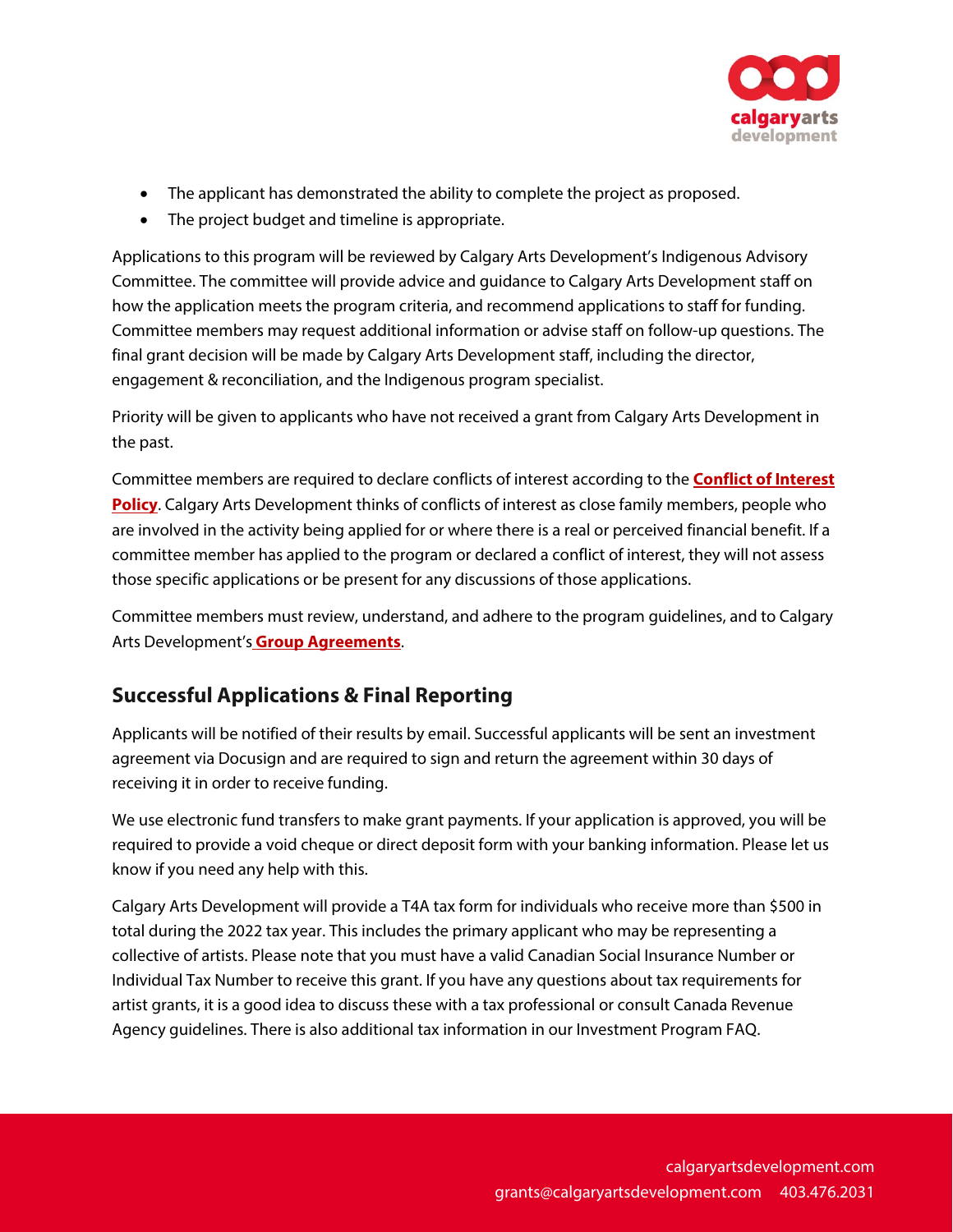

- The applicant has demonstrated the ability to complete the project as proposed.
- The project budget and timeline is appropriate.

Applications to this program will be reviewed by Calgary Arts Development's Indigenous Advisory Committee. The committee will provide advice and guidance to Calgary Arts Development staff on how the application meets the program criteria, and recommend applications to staff for funding. Committee members may request additional information or advise staff on follow-up questions. The final grant decision will be made by Calgary Arts Development staff, including the director, engagement & reconciliation, and the Indigenous program specialist.

Priority will be given to applicants who have not received a grant from Calgary Arts Development in the past.

Committee members are required to declare conflicts of interest according to the **[Conflict of Interest](https://calgaryartsdevelopment.com/policies/grant-investment-program-policies-2022/)  [Policy](https://calgaryartsdevelopment.com/policies/grant-investment-program-policies-2022/)**. Calgary Arts Development thinks of conflicts of interest as close family members, people who are involved in the activity being applied for or where there is a real or perceived financial benefit. If a committee member has applied to the program or declared a conflict of interest, they will not assess those specific applications or be present for any discussions of those applications.

Committee members must review, understand, and adhere to the program guidelines, and to Calgary Arts Development's **Group Agreements**.

### **Successful Applications & Final Reporting**

Applicants will be notified of their results by email. Successful applicants will be sent an investment agreement via Docusign and are required to sign and return the agreement within 30 days of receiving it in order to receive funding.

We use electronic fund transfers to make grant payments. If your application is approved, you will be required to provide a void cheque or direct deposit form with your banking information. Please let us know if you need any help with this.

Calgary Arts Development will provide a T4A tax form for individuals who receive more than \$500 in total during the 2022 tax year. This includes the primary applicant who may be representing a collective of artists. Please note that you must have a valid Canadian Social Insurance Number or Individual Tax Number to receive this grant. If you have any questions about tax requirements for artist grants, it is a good idea to discuss these with a tax professional or consult Canada Revenue Agency guidelines. There is also additional tax information in our Investment Program FAQ.